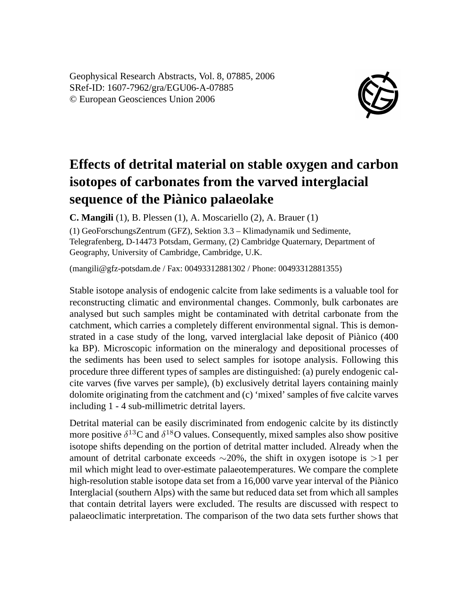Geophysical Research Abstracts, Vol. 8, 07885, 2006 SRef-ID: 1607-7962/gra/EGU06-A-07885 © European Geosciences Union 2006



## **Effects of detrital material on stable oxygen and carbon isotopes of carbonates from the varved interglacial sequence of the Piànico palaeolake**

**C. Mangili** (1), B. Plessen (1), A. Moscariello (2), A. Brauer (1)

(1) GeoForschungsZentrum (GFZ), Sektion 3.3 – Klimadynamik und Sedimente, Telegrafenberg, D-14473 Potsdam, Germany, (2) Cambridge Quaternary, Department of Geography, University of Cambridge, Cambridge, U.K.

(mangili@gfz-potsdam.de / Fax: 00493312881302 / Phone: 00493312881355)

Stable isotope analysis of endogenic calcite from lake sediments is a valuable tool for reconstructing climatic and environmental changes. Commonly, bulk carbonates are analysed but such samples might be contaminated with detrital carbonate from the catchment, which carries a completely different environmental signal. This is demonstrated in a case study of the long, varved interglacial lake deposit of Piànico (400 ka BP). Microscopic information on the mineralogy and depositional processes of the sediments has been used to select samples for isotope analysis. Following this procedure three different types of samples are distinguished: (a) purely endogenic calcite varves (five varves per sample), (b) exclusively detrital layers containing mainly dolomite originating from the catchment and (c) 'mixed' samples of five calcite varves including 1 - 4 sub-millimetric detrital layers.

Detrital material can be easily discriminated from endogenic calcite by its distinctly more positive  $\delta^{13}$ C and  $\delta^{18}$ O values. Consequently, mixed samples also show positive isotope shifts depending on the portion of detrital matter included. Already when the amount of detrital carbonate exceeds ∼20%, the shift in oxygen isotope is >1 per mil which might lead to over-estimate palaeotemperatures. We compare the complete high-resolution stable isotope data set from a 16,000 varve year interval of the Piànico Interglacial (southern Alps) with the same but reduced data set from which all samples that contain detrital layers were excluded. The results are discussed with respect to palaeoclimatic interpretation. The comparison of the two data sets further shows that